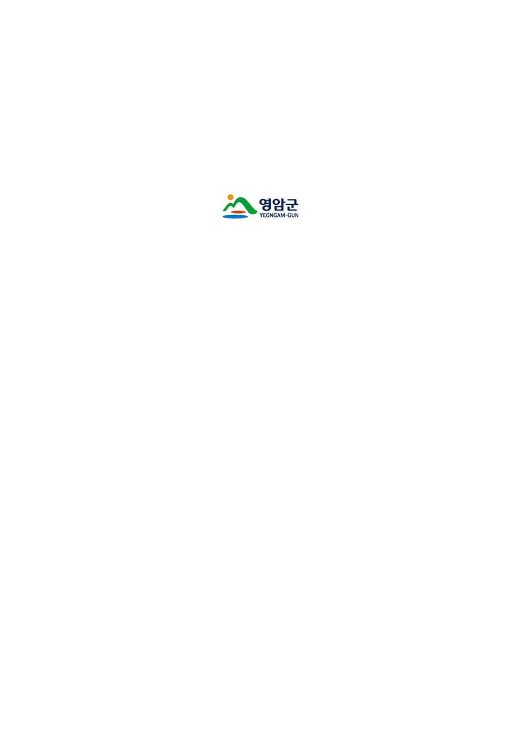